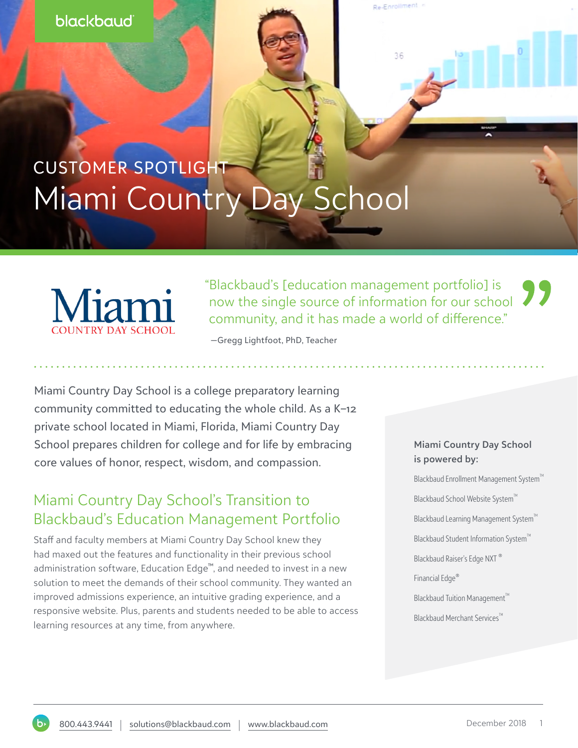#### blackbaud

# CUSTOMER SPOTLIGHT Miami Country Day School



"Blackbaud's [education management portfolio] is now the single source of information for our school community, and it has made a world of difference."

Re-Enrollment

36

—Gregg Lightfoot, PhD, Teacher

Miami Country Day School is a college preparatory learning community committed to educating the whole child. As a K–12 private school located in Miami, Florida, Miami Country Day School prepares children for college and for life by embracing core values of honor, respect, wisdom, and compassion.

## Miami Country Day School's Transition to Blackbaud's Education Management Portfolio

Staff and faculty members at Miami Country Day School knew they had maxed out the features and functionality in their previous school administration software, Education Edge™, and needed to invest in a new solution to meet the demands of their school community. They wanted an improved admissions experience, an intuitive grading experience, and a responsive website. Plus, parents and students needed to be able to access learning resources at any time, from anywhere.

#### **Miami Country Day School is powered by:**

Blackbaud Enrollment Management System™ Blackbaud School Website System<sup>™</sup> Blackbaud Learning Management System™ Blackbaud Student Information System™ Blackbaud Raiser's Edge NXT ® Financial Edge® Blackbaud Tuition Management<sup>™</sup> Blackbaud Merchant Services<sup>™</sup>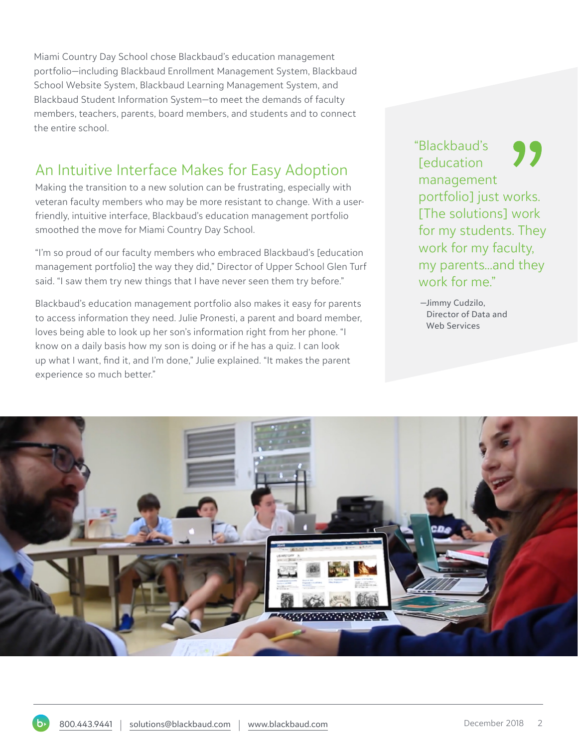Miami Country Day School chose Blackbaud's education management portfolio—including Blackbaud Enrollment Management System, Blackbaud School Website System, Blackbaud Learning Management System, and Blackbaud Student Information System—to meet the demands of faculty members, teachers, parents, board members, and students and to connect the entire school.

### An Intuitive Interface Makes for Easy Adoption

Making the transition to a new solution can be frustrating, especially with veteran faculty members who may be more resistant to change. With a userfriendly, intuitive interface, Blackbaud's education management portfolio smoothed the move for Miami Country Day School.

"I'm so proud of our faculty members who embraced Blackbaud's [education management portfolio] the way they did," Director of Upper School Glen Turf said. "I saw them try new things that I have never seen them try before."

Blackbaud's education management portfolio also makes it easy for parents to access information they need. Julie Pronesti, a parent and board member, loves being able to look up her son's information right from her phone. "I know on a daily basis how my son is doing or if he has a quiz. I can look up what I want, find it, and I'm done," Julie explained. "It makes the parent experience so much better."

"Blackbaud's *<u>Feducation</u>* management portfolio] just works. [The solutions] work for my students. They work for my faculty, my parents...and they work for me."

 —Jimmy Cudzilo, Director of Data and Web Services